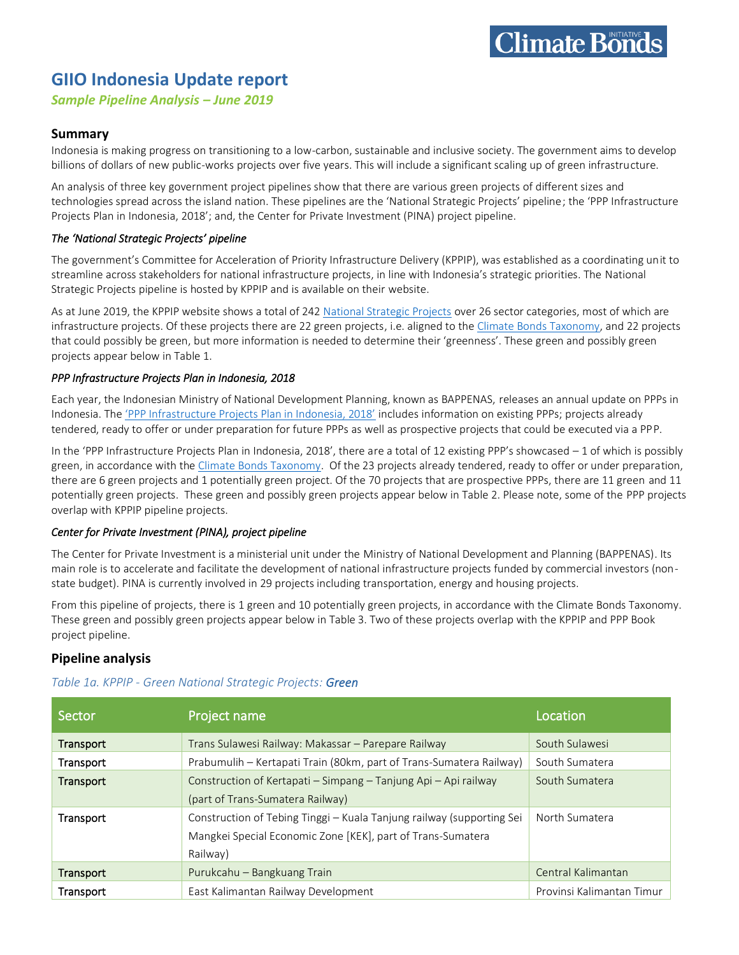## **GIIO Indonesia Update report**

*Sample Pipeline Analysis – June 2019*

## **Summary**

Indonesia is making progress on transitioning to a low-carbon, sustainable and inclusive society. The government aims to develop billions of dollars of new public-works projects over five years. This will include a significant scaling up of green infrastructure.

An analysis of three key government project pipelines show that there are various green projects of different sizes and technologies spread across the island nation. These pipelines are the 'National Strategic Projects' pipeline; the 'PPP Infrastructure Projects Plan in Indonesia, 2018'; and, the Center for Private Investment (PINA) project pipeline.

#### *The 'National Strategic Projects' pipeline*

The government's Committee for Acceleration of Priority Infrastructure Delivery (KPPIP), was established as a coordinating unit to streamline across stakeholders for national infrastructure projects, in line with Indonesia's strategic priorities. The National Strategic Projects pipeline is hosted by KPPIP and is available on thei[r website.](https://kppip.go.id/en/national-strategic-projects/)

As at June 2019, the KPPIP website shows a total of 242 [National Strategic Projects](https://kppip.go.id/en/national-strategic-projects/) over 26 sector categories, most of which are infrastructure projects. Of these projects there are 22 green projects, i.e. aligned to th[e Climate Bonds Taxonomy,](https://www.climatebonds.net/standard/taxonomy) and 22 projects that could possibly be green, but more information is needed to determine their 'greenness'. These green and possibly green projects appear below in Table 1.

#### *PPP Infrastructure Projects Plan in Indonesia, 2018*

Each year, the Indonesian Ministry of National Development Planning, known as BAPPENAS, releases an annual update on PPPs in Indonesia. The ['PPP Infrastructure Projects Plan in Indonesia, 2018'](https://www.bappenas.go.id/files/PPP%20Book/PPP%20Book%202018%20FINAL.pdf) includes information on existing PPPs; projects already tendered, ready to offer or under preparation for future PPPs as well as prospective projects that could be executed via a PPP.

In the 'PPP Infrastructure Projects Plan in Indonesia, 2018', there are a total of 12 existing PPP's showcased – 1 of which is possibly green, in accordance with the [Climate Bonds Taxonomy.](https://www.climatebonds.net/standard/taxonomy) Of the 23 projects already tendered, ready to offer or under preparation, there are 6 green projects and 1 potentially green project. Of the 70 projects that are prospective PPPs, there are 11 green and 11 potentially green projects. These green and possibly green projects appear below in Table 2. Please note, some of the PPP projects overlap with KPPIP pipeline projects.

### *Center for Private Investment (PINA), project pipeline*

The Center for Private Investment is a ministerial unit under the Ministry of National Development and Planning (BAPPENAS). Its main role is to accelerate and facilitate the development of national infrastructure projects funded by commercial investors (nonstate budget). PINA is currently involved in 29 projects including transportation, energy and housing projects.

From this pipeline of projects, there is 1 green and 10 potentially green projects, in accordance with the Climate Bonds Taxonomy. These green and possibly green projects appear below in Table 3. Two of these projects overlap with the KPPIP and PPP Book project pipeline.

## **Pipeline analysis**

| Sector           | Project name                                                                                                                                     | Location                  |
|------------------|--------------------------------------------------------------------------------------------------------------------------------------------------|---------------------------|
| <b>Transport</b> | Trans Sulawesi Railway: Makassar – Parepare Railway                                                                                              | South Sulawesi            |
| Transport        | Prabumulih - Kertapati Train (80km, part of Trans-Sumatera Railway)                                                                              | South Sumatera            |
| <b>Transport</b> | Construction of Kertapati – Simpang – Tanjung Api – Api railway<br>(part of Trans-Sumatera Railway)                                              | South Sumatera            |
| Transport        | Construction of Tebing Tinggi - Kuala Tanjung railway (supporting Sei<br>Mangkei Special Economic Zone [KEK], part of Trans-Sumatera<br>Railway) | North Sumatera            |
| <b>Transport</b> | Purukcahu - Bangkuang Train                                                                                                                      | Central Kalimantan        |
| <b>Transport</b> | East Kalimantan Railway Development                                                                                                              | Provinsi Kalimantan Timur |

#### *Table 1a. KPPIP - Green National Strategic Projects: Green*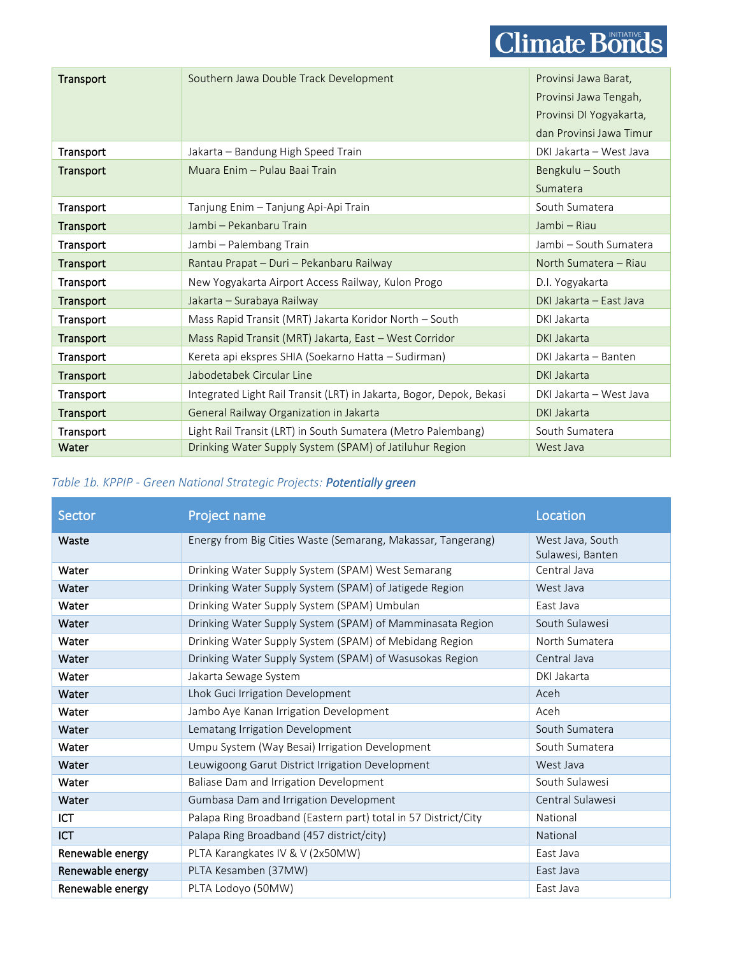# **Climate Bonds**

| Transport        | Southern Jawa Double Track Development                               | Provinsi Jawa Barat,    |
|------------------|----------------------------------------------------------------------|-------------------------|
|                  |                                                                      | Provinsi Jawa Tengah,   |
|                  |                                                                      | Provinsi DI Yogyakarta, |
|                  |                                                                      | dan Provinsi Jawa Timur |
| Transport        | Jakarta - Bandung High Speed Train                                   | DKI Jakarta - West Java |
| <b>Transport</b> | Muara Enim - Pulau Baai Train                                        | Bengkulu - South        |
|                  |                                                                      | Sumatera                |
| Transport        | Tanjung Enim - Tanjung Api-Api Train                                 | South Sumatera          |
| <b>Transport</b> | Jambi - Pekanbaru Train                                              | Jambi - Riau            |
| Transport        | Jambi - Palembang Train                                              | Jambi - South Sumatera  |
| <b>Transport</b> | Rantau Prapat - Duri - Pekanbaru Railway                             | North Sumatera - Riau   |
| Transport        | New Yogyakarta Airport Access Railway, Kulon Progo                   | D.I. Yogyakarta         |
| Transport        | Jakarta - Surabaya Railway                                           | DKI Jakarta - East Java |
| Transport        | Mass Rapid Transit (MRT) Jakarta Koridor North - South               | DKI Jakarta             |
| Transport        | Mass Rapid Transit (MRT) Jakarta, East - West Corridor               | DKI Jakarta             |
| Transport        | Kereta api ekspres SHIA (Soekarno Hatta - Sudirman)                  | DKI Jakarta - Banten    |
| <b>Transport</b> | Jabodetabek Circular Line                                            | <b>DKI Jakarta</b>      |
| Transport        | Integrated Light Rail Transit (LRT) in Jakarta, Bogor, Depok, Bekasi | DKI Jakarta - West Java |
| Transport        | General Railway Organization in Jakarta                              | <b>DKI Jakarta</b>      |
| Transport        | Light Rail Transit (LRT) in South Sumatera (Metro Palembang)         | South Sumatera          |
| Water            | Drinking Water Supply System (SPAM) of Jatiluhur Region              | West Java               |

## *Table 1b. KPPIP - Green National Strategic Projects: Potentially green*

| Sector           | Project name                                                   | Location                             |
|------------------|----------------------------------------------------------------|--------------------------------------|
| Waste            | Energy from Big Cities Waste (Semarang, Makassar, Tangerang)   | West Java, South<br>Sulawesi, Banten |
| Water            | Drinking Water Supply System (SPAM) West Semarang              | Central Java                         |
| Water            | Drinking Water Supply System (SPAM) of Jatigede Region         | West Java                            |
| Water            | Drinking Water Supply System (SPAM) Umbulan                    | East Java                            |
| Water            | Drinking Water Supply System (SPAM) of Mamminasata Region      | South Sulawesi                       |
| Water            | Drinking Water Supply System (SPAM) of Mebidang Region         | North Sumatera                       |
| Water            | Drinking Water Supply System (SPAM) of Wasusokas Region        | Central Java                         |
| Water            | Jakarta Sewage System                                          | DKI Jakarta                          |
| Water            | Lhok Guci Irrigation Development                               | Aceh                                 |
| Water            | Jambo Aye Kanan Irrigation Development                         | Aceh                                 |
| Water            | Lematang Irrigation Development                                | South Sumatera                       |
| Water            | Umpu System (Way Besai) Irrigation Development                 | South Sumatera                       |
| Water            | Leuwigoong Garut District Irrigation Development               | West Java                            |
| Water            | Baliase Dam and Irrigation Development                         | South Sulawesi                       |
| Water            | Gumbasa Dam and Irrigation Development                         | Central Sulawesi                     |
| ICT              | Palapa Ring Broadband (Eastern part) total in 57 District/City | National                             |
| <b>ICT</b>       | Palapa Ring Broadband (457 district/city)                      | National                             |
| Renewable energy | PLTA Karangkates IV & V (2x50MW)                               | East Java                            |
| Renewable energy | PLTA Kesamben (37MW)                                           | East Java                            |
| Renewable energy | PLTA Lodoyo (50MW)                                             | East Java                            |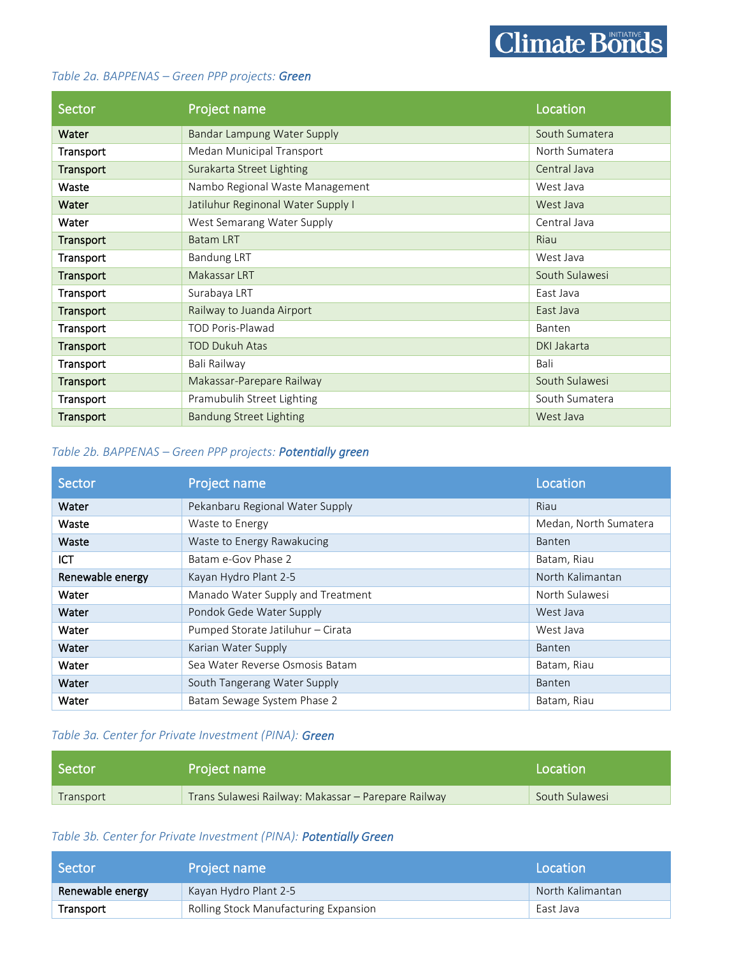## **Climate Bonds**

### *Table 2a. BAPPENAS – Green PPP projects: Green*

| Sector           | Project name                       | Location           |
|------------------|------------------------------------|--------------------|
| Water            | Bandar Lampung Water Supply        | South Sumatera     |
| Transport        | Medan Municipal Transport          | North Sumatera     |
| Transport        | Surakarta Street Lighting          | Central Java       |
| Waste            | Nambo Regional Waste Management    | West Java          |
| Water            | Jatiluhur Reginonal Water Supply I | West Java          |
| Water            | West Semarang Water Supply         | Central Java       |
| Transport        | <b>Batam LRT</b>                   | Riau               |
| Transport        | <b>Bandung LRT</b>                 | West Java          |
| <b>Transport</b> | Makassar LRT                       | South Sulawesi     |
| Transport        | Surabaya LRT                       | East Java          |
| Transport        | Railway to Juanda Airport          | East Java          |
| Transport        | <b>TOD Poris-Plawad</b>            | Banten             |
| Transport        | <b>TOD Dukuh Atas</b>              | <b>DKI Jakarta</b> |
| Transport        | Bali Railway                       | Bali               |
| Transport        | Makassar-Parepare Railway          | South Sulawesi     |
| Transport        | Pramubulih Street Lighting         | South Sumatera     |
| <b>Transport</b> | Bandung Street Lighting            | West Java          |

## *Table 2b. BAPPENAS – Green PPP projects: Potentially green*

| Sector           | Project name                      | Location              |
|------------------|-----------------------------------|-----------------------|
| Water            | Pekanbaru Regional Water Supply   | Riau                  |
| Waste            | Waste to Energy                   | Medan, North Sumatera |
| Waste            | Waste to Energy Rawakucing        | <b>Banten</b>         |
| <b>ICT</b>       | Batam e-Gov Phase 2               | Batam, Riau           |
| Renewable energy | Kayan Hydro Plant 2-5             | North Kalimantan      |
| Water            | Manado Water Supply and Treatment | North Sulawesi        |
| Water            | Pondok Gede Water Supply          | West Java             |
| Water            | Pumped Storate Jatiluhur - Cirata | West Java             |
| Water            | Karian Water Supply               | Banten                |
| Water            | Sea Water Reverse Osmosis Batam   | Batam, Riau           |
| Water            | South Tangerang Water Supply      | <b>Banten</b>         |
| Water            | Batam Sewage System Phase 2       | Batam, Riau           |

## *Table 3a. Center for Private Investment (PINA): Green*

| <b>/ Sector</b> | Project name                                        | Location       |
|-----------------|-----------------------------------------------------|----------------|
| Transport       | Trans Sulawesi Railway: Makassar - Parepare Railway | South Sulawesi |

## *Table 3b. Center for Private Investment (PINA): Potentially Green*

| <b>Sector</b>    | <b>Project name</b>                   | Location         |
|------------------|---------------------------------------|------------------|
| Renewable energy | Kayan Hydro Plant 2-5                 | North Kalimantan |
| Transport        | Rolling Stock Manufacturing Expansion | East Java        |